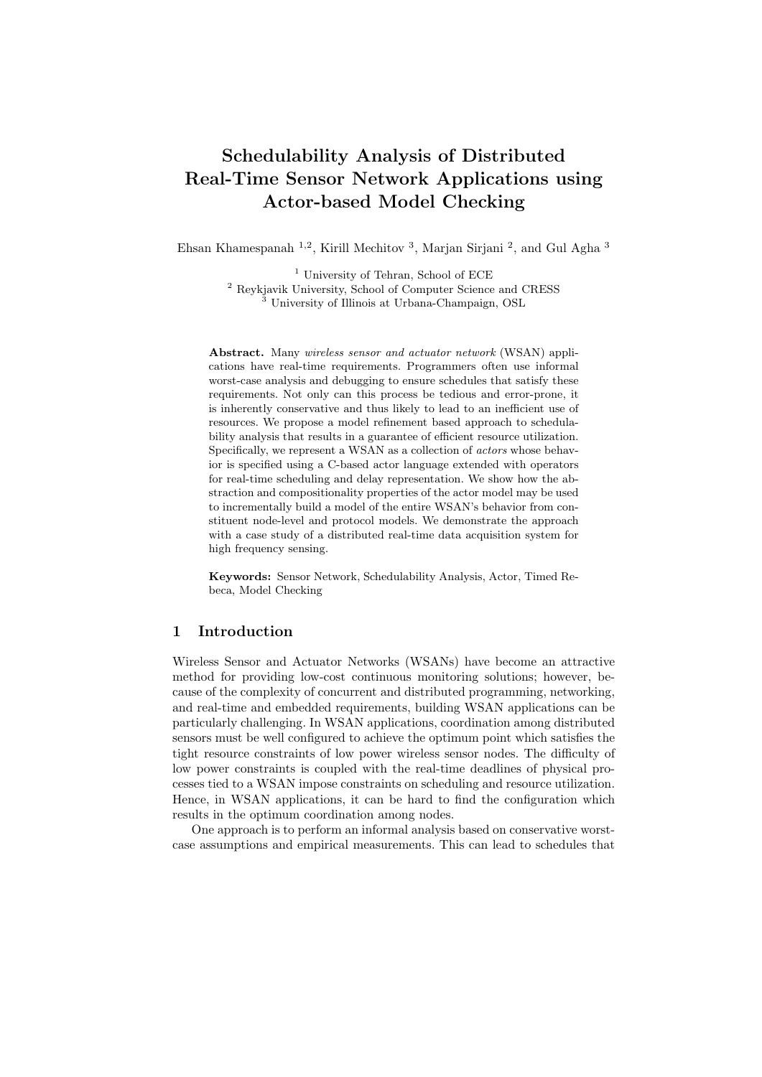# Schedulability Analysis of Distributed Real-Time Sensor Network Applications using Actor-based Model Checking

Ehsan Khamespanah <sup>1,2</sup>, Kirill Mechitov<sup>3</sup>, Marjan Sirjani<sup>2</sup>, and Gul Agha<sup>3</sup>

<sup>1</sup> University of Tehran, School of ECE <sup>2</sup> Reykjavik University, School of Computer Science and CRESS University of Illinois at Urbana-Champaign, OSL

Abstract. Many wireless sensor and actuator network (WSAN) applications have real-time requirements. Programmers often use informal worst-case analysis and debugging to ensure schedules that satisfy these requirements. Not only can this process be tedious and error-prone, it is inherently conservative and thus likely to lead to an inefficient use of resources. We propose a model refinement based approach to schedulability analysis that results in a guarantee of efficient resource utilization. Specifically, we represent a WSAN as a collection of actors whose behavior is specified using a C-based actor language extended with operators for real-time scheduling and delay representation. We show how the abstraction and compositionality properties of the actor model may be used to incrementally build a model of the entire WSAN's behavior from constituent node-level and protocol models. We demonstrate the approach with a case study of a distributed real-time data acquisition system for high frequency sensing.

Keywords: Sensor Network, Schedulability Analysis, Actor, Timed Rebeca, Model Checking

# 1 Introduction

Wireless Sensor and Actuator Networks (WSANs) have become an attractive method for providing low-cost continuous monitoring solutions; however, because of the complexity of concurrent and distributed programming, networking, and real-time and embedded requirements, building WSAN applications can be particularly challenging. In WSAN applications, coordination among distributed sensors must be well configured to achieve the optimum point which satisfies the tight resource constraints of low power wireless sensor nodes. The difficulty of low power constraints is coupled with the real-time deadlines of physical processes tied to a WSAN impose constraints on scheduling and resource utilization. Hence, in WSAN applications, it can be hard to find the configuration which results in the optimum coordination among nodes.

One approach is to perform an informal analysis based on conservative worstcase assumptions and empirical measurements. This can lead to schedules that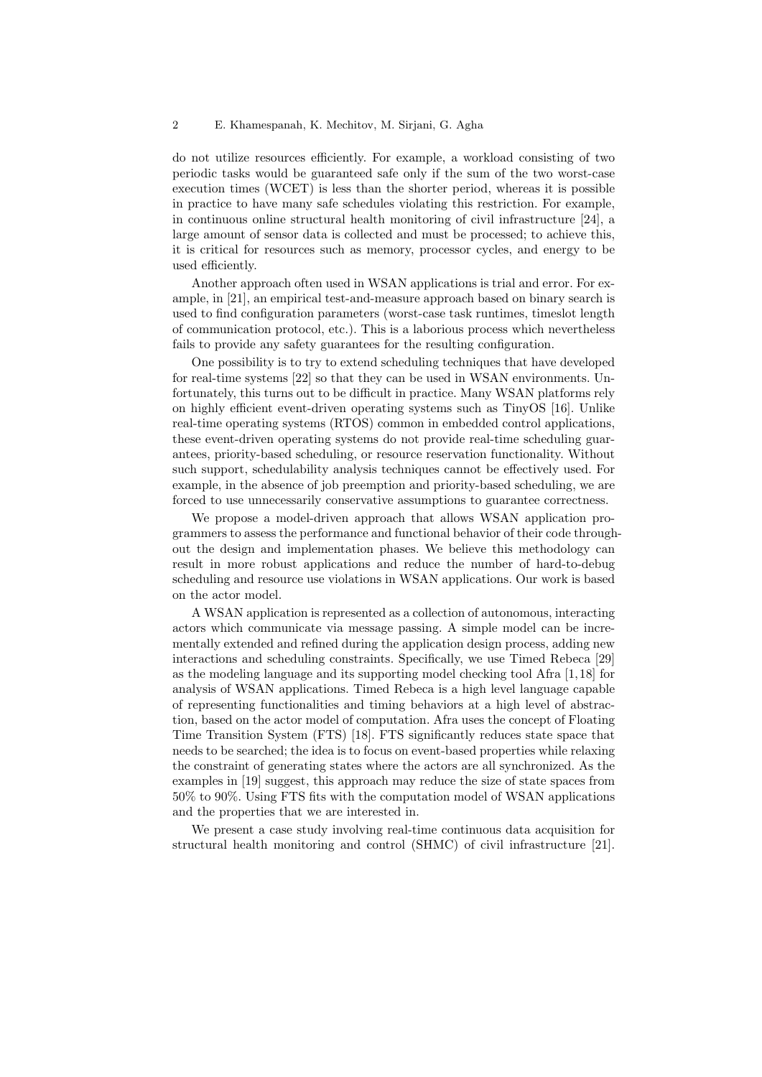do not utilize resources efficiently. For example, a workload consisting of two periodic tasks would be guaranteed safe only if the sum of the two worst-case execution times (WCET) is less than the shorter period, whereas it is possible in practice to have many safe schedules violating this restriction. For example, in continuous online structural health monitoring of civil infrastructure [24], a large amount of sensor data is collected and must be processed; to achieve this, it is critical for resources such as memory, processor cycles, and energy to be used efficiently.

Another approach often used in WSAN applications is trial and error. For example, in [21], an empirical test-and-measure approach based on binary search is used to find configuration parameters (worst-case task runtimes, timeslot length of communication protocol, etc.). This is a laborious process which nevertheless fails to provide any safety guarantees for the resulting configuration.

One possibility is to try to extend scheduling techniques that have developed for real-time systems [22] so that they can be used in WSAN environments. Unfortunately, this turns out to be difficult in practice. Many WSAN platforms rely on highly efficient event-driven operating systems such as TinyOS [16]. Unlike real-time operating systems (RTOS) common in embedded control applications, these event-driven operating systems do not provide real-time scheduling guarantees, priority-based scheduling, or resource reservation functionality. Without such support, schedulability analysis techniques cannot be effectively used. For example, in the absence of job preemption and priority-based scheduling, we are forced to use unnecessarily conservative assumptions to guarantee correctness.

We propose a model-driven approach that allows WSAN application programmers to assess the performance and functional behavior of their code throughout the design and implementation phases. We believe this methodology can result in more robust applications and reduce the number of hard-to-debug scheduling and resource use violations in WSAN applications. Our work is based on the actor model.

A WSAN application is represented as a collection of autonomous, interacting actors which communicate via message passing. A simple model can be incrementally extended and refined during the application design process, adding new interactions and scheduling constraints. Specifically, we use Timed Rebeca [29] as the modeling language and its supporting model checking tool Afra [1, 18] for analysis of WSAN applications. Timed Rebeca is a high level language capable of representing functionalities and timing behaviors at a high level of abstraction, based on the actor model of computation. Afra uses the concept of Floating Time Transition System (FTS) [18]. FTS significantly reduces state space that needs to be searched; the idea is to focus on event-based properties while relaxing the constraint of generating states where the actors are all synchronized. As the examples in [19] suggest, this approach may reduce the size of state spaces from 50% to 90%. Using FTS fits with the computation model of WSAN applications and the properties that we are interested in.

We present a case study involving real-time continuous data acquisition for structural health monitoring and control (SHMC) of civil infrastructure [21].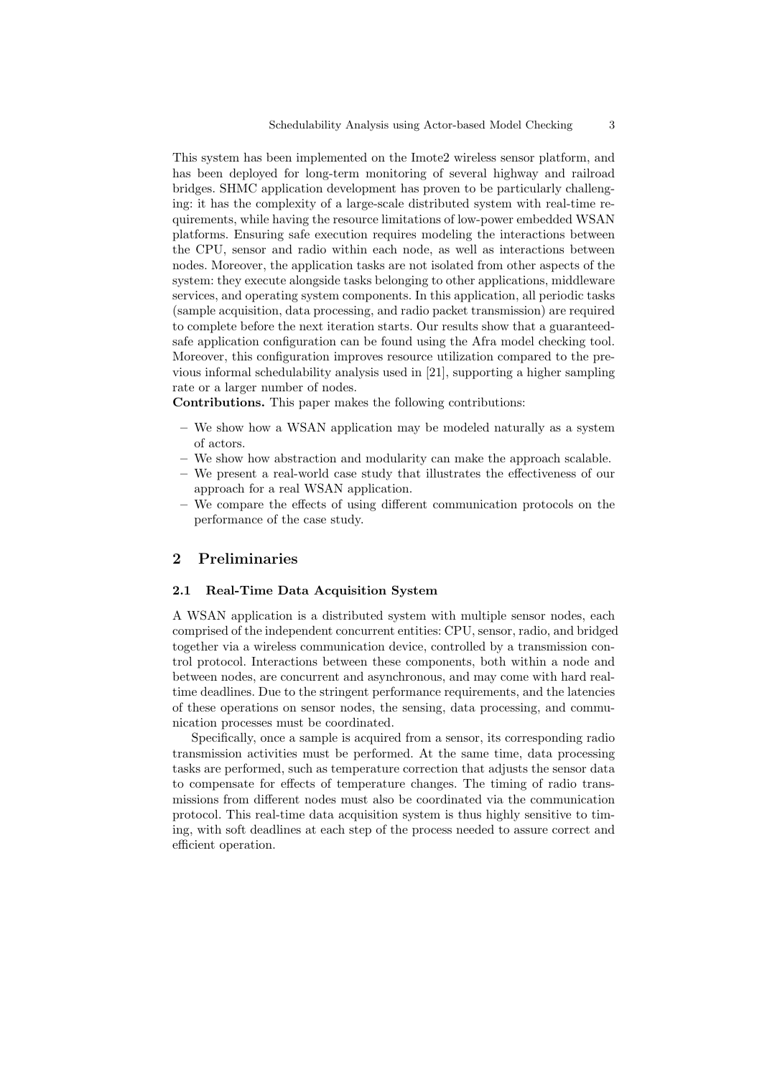This system has been implemented on the Imote2 wireless sensor platform, and has been deployed for long-term monitoring of several highway and railroad bridges. SHMC application development has proven to be particularly challenging: it has the complexity of a large-scale distributed system with real-time requirements, while having the resource limitations of low-power embedded WSAN platforms. Ensuring safe execution requires modeling the interactions between the CPU, sensor and radio within each node, as well as interactions between nodes. Moreover, the application tasks are not isolated from other aspects of the system: they execute alongside tasks belonging to other applications, middleware services, and operating system components. In this application, all periodic tasks (sample acquisition, data processing, and radio packet transmission) are required to complete before the next iteration starts. Our results show that a guaranteedsafe application configuration can be found using the Afra model checking tool. Moreover, this configuration improves resource utilization compared to the previous informal schedulability analysis used in [21], supporting a higher sampling rate or a larger number of nodes.

Contributions. This paper makes the following contributions:

- We show how a WSAN application may be modeled naturally as a system of actors.
- We show how abstraction and modularity can make the approach scalable.
- We present a real-world case study that illustrates the effectiveness of our approach for a real WSAN application.
- We compare the effects of using different communication protocols on the performance of the case study.

### 2 Preliminaries

### 2.1 Real-Time Data Acquisition System

A WSAN application is a distributed system with multiple sensor nodes, each comprised of the independent concurrent entities: CPU, sensor, radio, and bridged together via a wireless communication device, controlled by a transmission control protocol. Interactions between these components, both within a node and between nodes, are concurrent and asynchronous, and may come with hard realtime deadlines. Due to the stringent performance requirements, and the latencies of these operations on sensor nodes, the sensing, data processing, and communication processes must be coordinated.

Specifically, once a sample is acquired from a sensor, its corresponding radio transmission activities must be performed. At the same time, data processing tasks are performed, such as temperature correction that adjusts the sensor data to compensate for effects of temperature changes. The timing of radio transmissions from different nodes must also be coordinated via the communication protocol. This real-time data acquisition system is thus highly sensitive to timing, with soft deadlines at each step of the process needed to assure correct and efficient operation.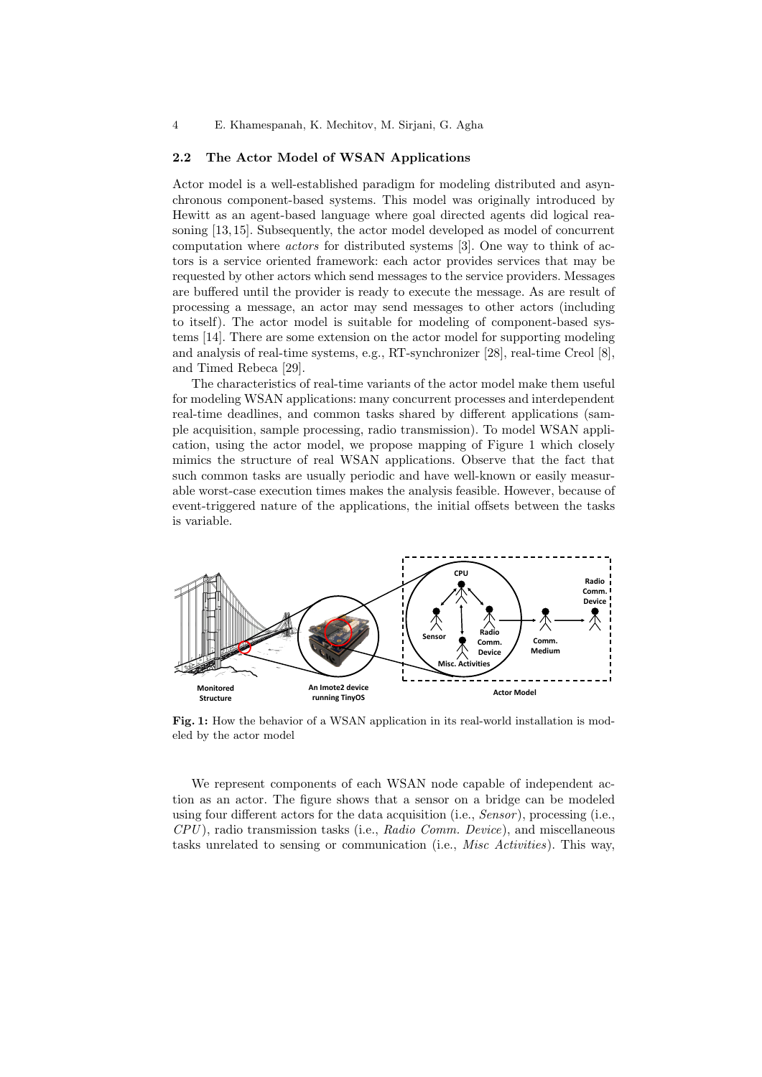#### 2.2 The Actor Model of WSAN Applications

Actor model is a well-established paradigm for modeling distributed and asynchronous component-based systems. This model was originally introduced by Hewitt as an agent-based language where goal directed agents did logical reasoning [13, 15]. Subsequently, the actor model developed as model of concurrent computation where actors for distributed systems [3]. One way to think of actors is a service oriented framework: each actor provides services that may be requested by other actors which send messages to the service providers. Messages are buffered until the provider is ready to execute the message. As are result of processing a message, an actor may send messages to other actors (including to itself). The actor model is suitable for modeling of component-based systems [14]. There are some extension on the actor model for supporting modeling and analysis of real-time systems, e.g., RT-synchronizer [28], real-time Creol [8], and Timed Rebeca [29].

The characteristics of real-time variants of the actor model make them useful for modeling WSAN applications: many concurrent processes and interdependent real-time deadlines, and common tasks shared by different applications (sample acquisition, sample processing, radio transmission). To model WSAN application, using the actor model, we propose mapping of Figure 1 which closely mimics the structure of real WSAN applications. Observe that the fact that such common tasks are usually periodic and have well-known or easily measurable worst-case execution times makes the analysis feasible. However, because of event-triggered nature of the applications, the initial offsets between the tasks is variable.



Fig. 1: How the behavior of a WSAN application in its real-world installation is modeled by the actor model

We represent components of each WSAN node capable of independent action as an actor. The figure shows that a sensor on a bridge can be modeled using four different actors for the data acquisition (i.e.,  $Sensor$ ), processing (i.e.,  $CPU$ ), radio transmission tasks (i.e., Radio Comm. Device), and miscellaneous tasks unrelated to sensing or communication (i.e., Misc Activities). This way,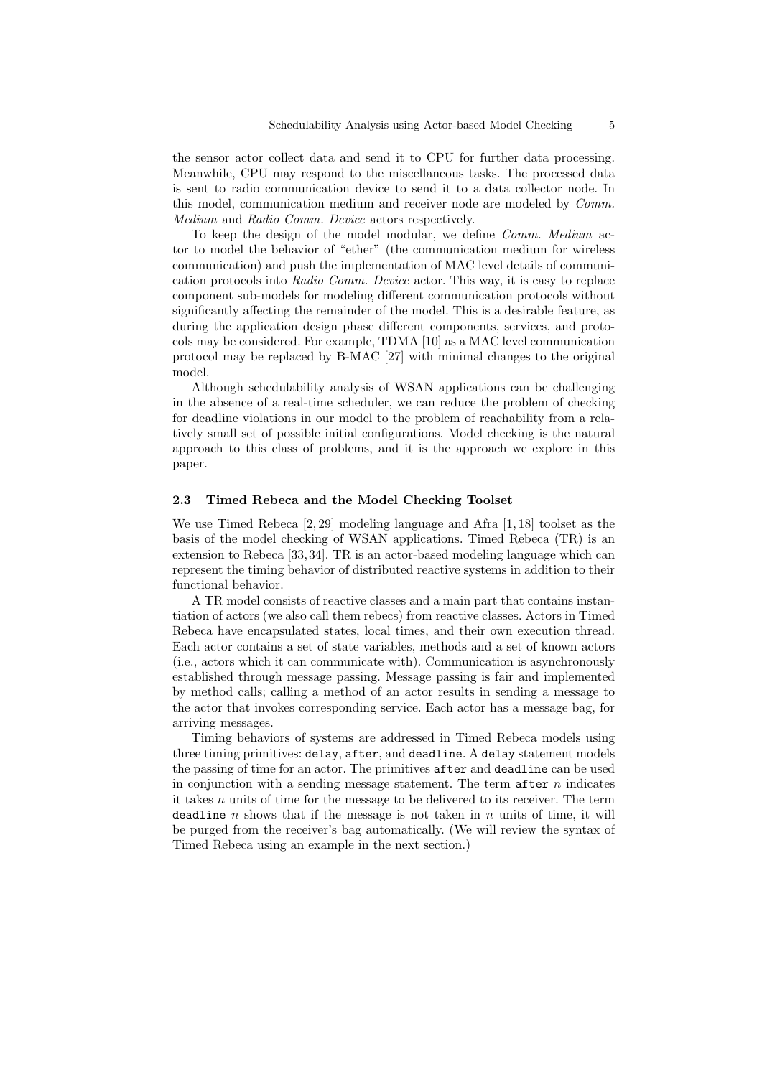the sensor actor collect data and send it to CPU for further data processing. Meanwhile, CPU may respond to the miscellaneous tasks. The processed data is sent to radio communication device to send it to a data collector node. In this model, communication medium and receiver node are modeled by Comm. Medium and Radio Comm. Device actors respectively.

To keep the design of the model modular, we define Comm. Medium actor to model the behavior of "ether" (the communication medium for wireless communication) and push the implementation of MAC level details of communication protocols into Radio Comm. Device actor. This way, it is easy to replace component sub-models for modeling different communication protocols without significantly affecting the remainder of the model. This is a desirable feature, as during the application design phase different components, services, and protocols may be considered. For example, TDMA [10] as a MAC level communication protocol may be replaced by B-MAC [27] with minimal changes to the original model.

Although schedulability analysis of WSAN applications can be challenging in the absence of a real-time scheduler, we can reduce the problem of checking for deadline violations in our model to the problem of reachability from a relatively small set of possible initial configurations. Model checking is the natural approach to this class of problems, and it is the approach we explore in this paper.

### 2.3 Timed Rebeca and the Model Checking Toolset

We use Timed Rebeca [2, 29] modeling language and Afra [1, 18] toolset as the basis of the model checking of WSAN applications. Timed Rebeca (TR) is an extension to Rebeca [33, 34]. TR is an actor-based modeling language which can represent the timing behavior of distributed reactive systems in addition to their functional behavior.

A TR model consists of reactive classes and a main part that contains instantiation of actors (we also call them rebecs) from reactive classes. Actors in Timed Rebeca have encapsulated states, local times, and their own execution thread. Each actor contains a set of state variables, methods and a set of known actors (i.e., actors which it can communicate with). Communication is asynchronously established through message passing. Message passing is fair and implemented by method calls; calling a method of an actor results in sending a message to the actor that invokes corresponding service. Each actor has a message bag, for arriving messages.

Timing behaviors of systems are addressed in Timed Rebeca models using three timing primitives: delay, after, and deadline. A delay statement models the passing of time for an actor. The primitives after and deadline can be used in conjunction with a sending message statement. The term after  $n$  indicates it takes  $n$  units of time for the message to be delivered to its receiver. The term deadline n shows that if the message is not taken in n units of time, it will be purged from the receiver's bag automatically. (We will review the syntax of Timed Rebeca using an example in the next section.)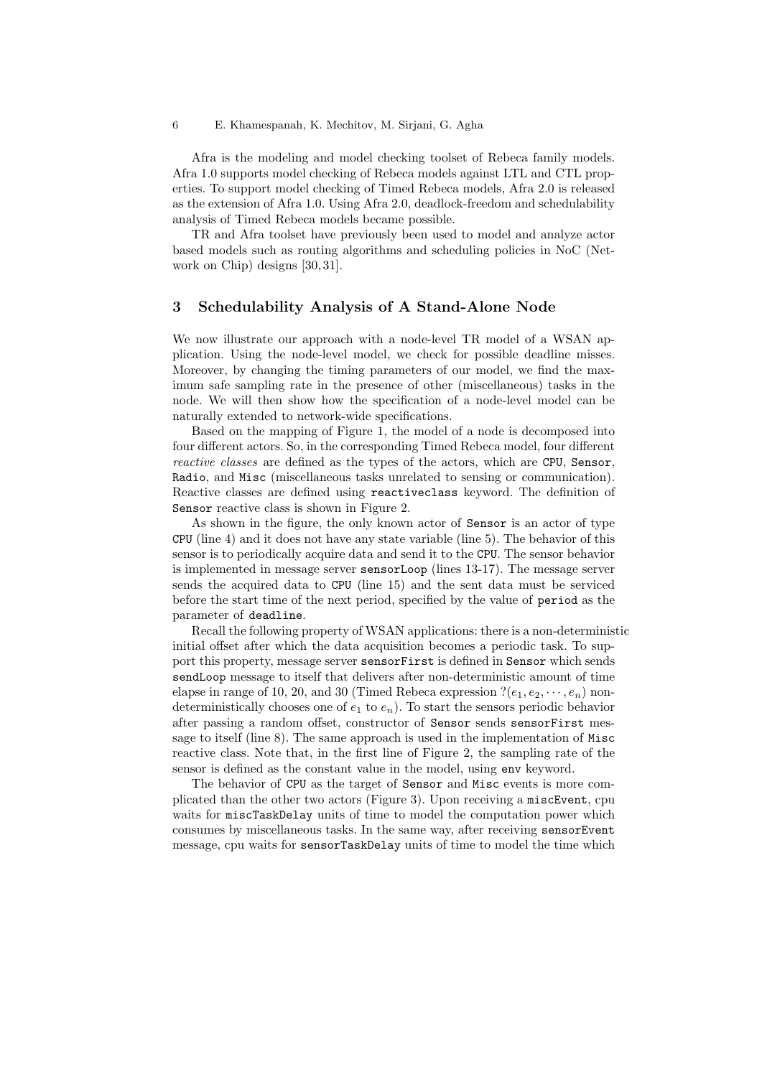Afra is the modeling and model checking toolset of Rebeca family models. Afra 1.0 supports model checking of Rebeca models against LTL and CTL properties. To support model checking of Timed Rebeca models, Afra 2.0 is released as the extension of Afra 1.0. Using Afra 2.0, deadlock-freedom and schedulability analysis of Timed Rebeca models became possible.

TR and Afra toolset have previously been used to model and analyze actor based models such as routing algorithms and scheduling policies in NoC (Network on Chip) designs [30, 31].

# 3 Schedulability Analysis of A Stand-Alone Node

We now illustrate our approach with a node-level TR model of a WSAN application. Using the node-level model, we check for possible deadline misses. Moreover, by changing the timing parameters of our model, we find the maximum safe sampling rate in the presence of other (miscellaneous) tasks in the node. We will then show how the specification of a node-level model can be naturally extended to network-wide specifications.

Based on the mapping of Figure 1, the model of a node is decomposed into four different actors. So, in the corresponding Timed Rebeca model, four different reactive classes are defined as the types of the actors, which are CPU, Sensor, Radio, and Misc (miscellaneous tasks unrelated to sensing or communication). Reactive classes are defined using reactiveclass keyword. The definition of Sensor reactive class is shown in Figure 2.

As shown in the figure, the only known actor of Sensor is an actor of type CPU (line 4) and it does not have any state variable (line 5). The behavior of this sensor is to periodically acquire data and send it to the CPU. The sensor behavior is implemented in message server sensorLoop (lines 13-17). The message server sends the acquired data to CPU (line 15) and the sent data must be serviced before the start time of the next period, specified by the value of period as the parameter of deadline.

Recall the following property of WSAN applications: there is a non-deterministic initial offset after which the data acquisition becomes a periodic task. To support this property, message server sensorFirst is defined in Sensor which sends sendLoop message to itself that delivers after non-deterministic amount of time elapse in range of 10, 20, and 30 (Timed Rebeca expression  $?(e_1, e_2, \dots, e_n)$  nondeterministically chooses one of  $e_1$  to  $e_n$ ). To start the sensors periodic behavior after passing a random offset, constructor of Sensor sends sensorFirst message to itself (line 8). The same approach is used in the implementation of Misc reactive class. Note that, in the first line of Figure 2, the sampling rate of the sensor is defined as the constant value in the model, using env keyword.

The behavior of CPU as the target of Sensor and Misc events is more complicated than the other two actors (Figure 3). Upon receiving a miscEvent, cpu waits for miscTaskDelay units of time to model the computation power which consumes by miscellaneous tasks. In the same way, after receiving sensorEvent message, cpu waits for sensorTaskDelay units of time to model the time which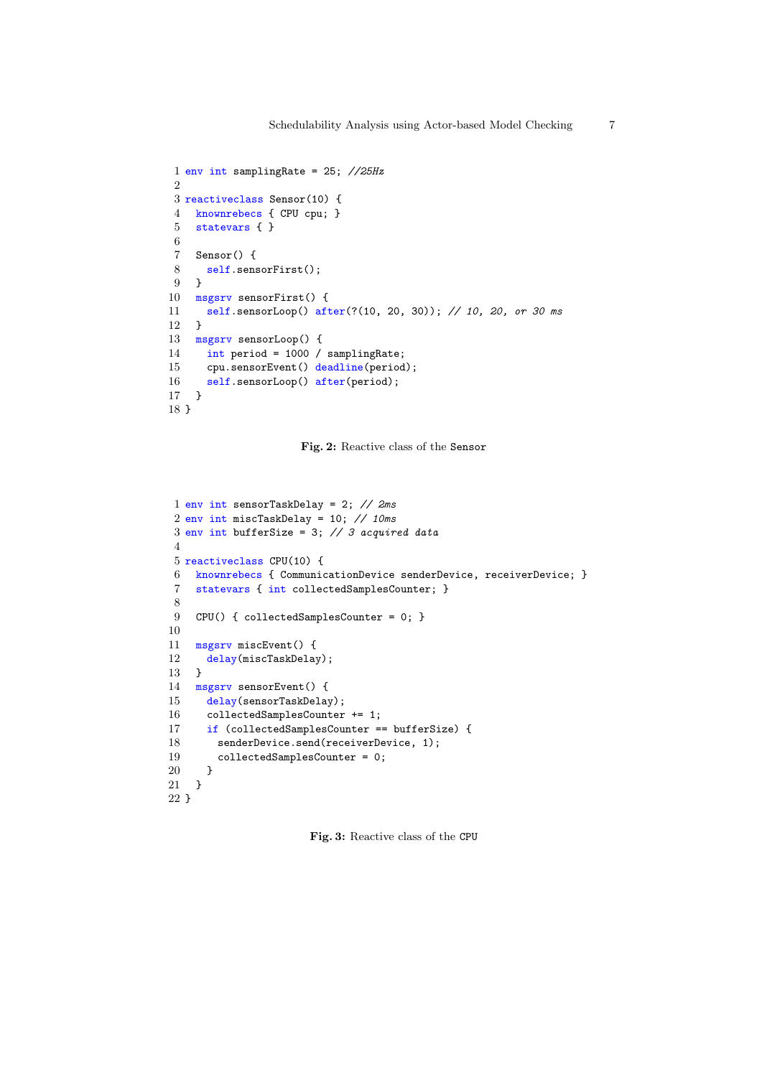```
1 env int samplingRate = 25; //25Hz
\mathcal{D}3 reactiveclass Sensor(10) {
4 knownrebecs { CPU cpu; }
5 statevars { }
6
7 Sensor() {
8 self.sensorFirst();
9 }
10 msgsrv sensorFirst() {
11 self.sensorLoop() after(?(10, 20, 30)); // 10, 20, or 30 ms
12 }
13 msgsrv sensorLoop() {
14 int period = 1000 / samplingRate;
15 cpu.sensorEvent() deadline(period);
16 self.sensorLoop() after(period);
17 }
18 }
```
Fig. 2: Reactive class of the Sensor

```
1 env int sensorTaskDelay = 2; // 2ms
2 env int miscTaskDelay = 10; // 10ms
3 env int bufferSize = 3; // 3 acquired data
4
5 reactiveclass CPU(10) {
6 knownrebecs { CommunicationDevice senderDevice, receiverDevice; }
7 statevars { int collectedSamplesCounter; }
8
9 CPU() { collectedSamplesCounter = 0; }
10
11 msgsrv miscEvent() {
12 delay(miscTaskDelay);
13 }
14 msgsrv sensorEvent() {
15 delay(sensorTaskDelay);
16 collectedSamplesCounter += 1;
17 if (collectedSamplesCounter == bufferSize) {
18 senderDevice.send(receiverDevice, 1);
19 collectedSamplesCounter = 0;
20 }
21 }
22 }
```
Fig. 3: Reactive class of the CPU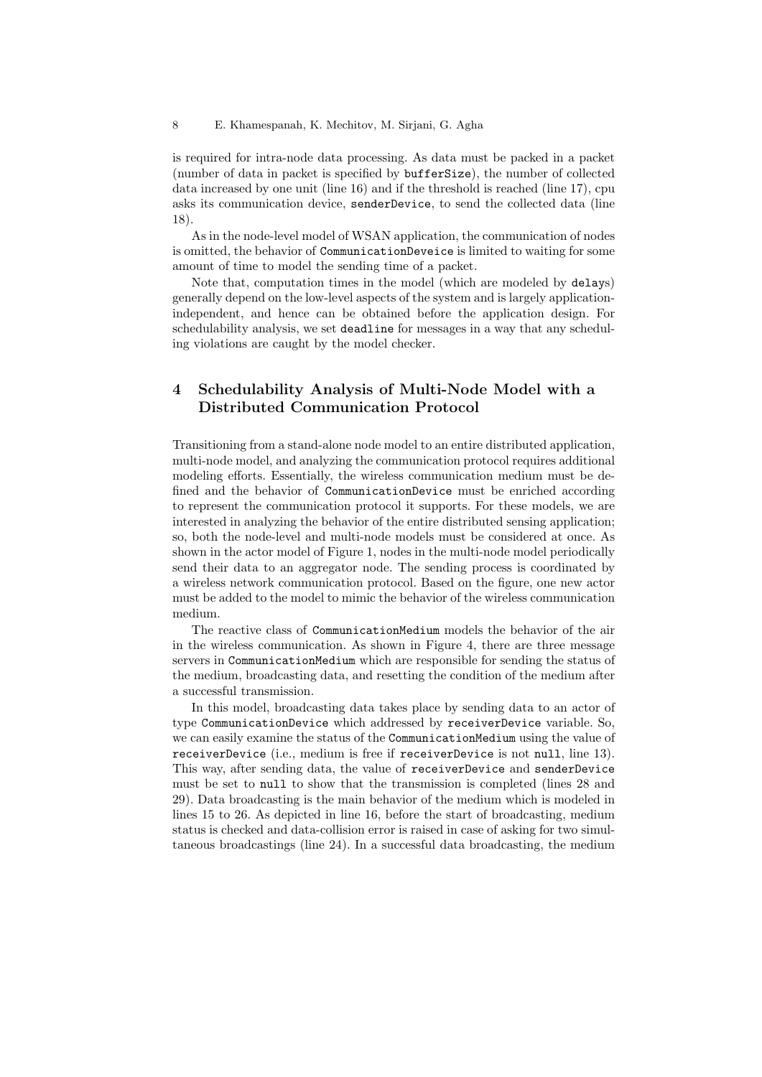8 E. Khamespanah, K. Mechitov, M. Sirjani, G. Agha

is required for intra-node data processing. As data must be packed in a packet (number of data in packet is specified by bufferSize), the number of collected data increased by one unit (line 16) and if the threshold is reached (line 17), cpu asks its communication device, senderDevice, to send the collected data (line 18).

As in the node-level model of WSAN application, the communication of nodes is omitted, the behavior of CommunicationDeveice is limited to waiting for some amount of time to model the sending time of a packet.

Note that, computation times in the model (which are modeled by delays) generally depend on the low-level aspects of the system and is largely applicationindependent, and hence can be obtained before the application design. For schedulability analysis, we set deadline for messages in a way that any scheduling violations are caught by the model checker.

# 4 Schedulability Analysis of Multi-Node Model with a Distributed Communication Protocol

Transitioning from a stand-alone node model to an entire distributed application, multi-node model, and analyzing the communication protocol requires additional modeling efforts. Essentially, the wireless communication medium must be defined and the behavior of CommunicationDevice must be enriched according to represent the communication protocol it supports. For these models, we are interested in analyzing the behavior of the entire distributed sensing application; so, both the node-level and multi-node models must be considered at once. As shown in the actor model of Figure 1, nodes in the multi-node model periodically send their data to an aggregator node. The sending process is coordinated by a wireless network communication protocol. Based on the figure, one new actor must be added to the model to mimic the behavior of the wireless communication medium.

The reactive class of CommunicationMedium models the behavior of the air in the wireless communication. As shown in Figure 4, there are three message servers in CommunicationMedium which are responsible for sending the status of the medium, broadcasting data, and resetting the condition of the medium after a successful transmission.

In this model, broadcasting data takes place by sending data to an actor of type CommunicationDevice which addressed by receiverDevice variable. So, we can easily examine the status of the CommunicationMedium using the value of receiverDevice (i.e., medium is free if receiverDevice is not null, line 13). This way, after sending data, the value of receiverDevice and senderDevice must be set to null to show that the transmission is completed (lines 28 and 29). Data broadcasting is the main behavior of the medium which is modeled in lines 15 to 26. As depicted in line 16, before the start of broadcasting, medium status is checked and data-collision error is raised in case of asking for two simultaneous broadcastings (line 24). In a successful data broadcasting, the medium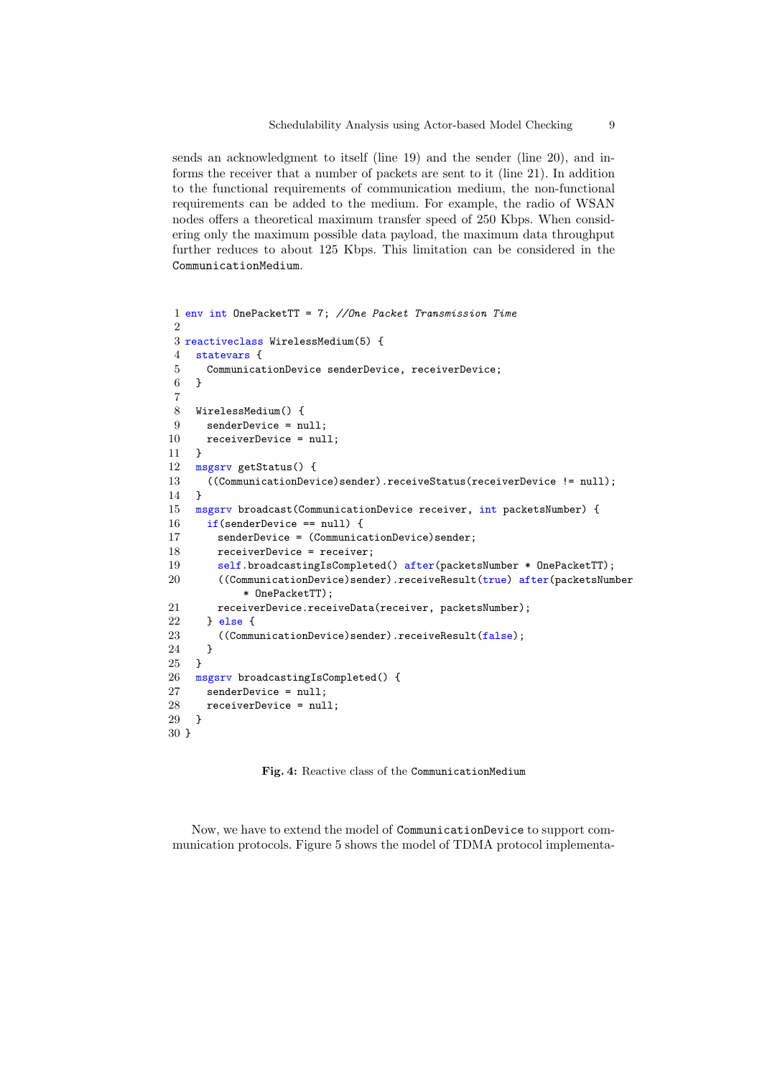sends an acknowledgment to itself (line 19) and the sender (line 20), and informs the receiver that a number of packets are sent to it (line 21). In addition to the functional requirements of communication medium, the non-functional requirements can be added to the medium. For example, the radio of WSAN nodes offers a theoretical maximum transfer speed of 250 Kbps. When considering only the maximum possible data payload, the maximum data throughput further reduces to about 125 Kbps. This limitation can be considered in the CommunicationMedium.

```
1 env int OnePacketTT = 7; //One Packet Transmission Time
\overline{2}3 reactiveclass WirelessMedium(5) {
4 statevars {
5 CommunicationDevice senderDevice, receiverDevice;
6 }
7
8 WirelessMedium() {
9 senderDevice = null;
10 receiverDevice = null;
11 }
12 msgsrv getStatus() {
13 ((CommunicationDevice)sender).receiveStatus(receiverDevice != null);
14 \quad \text{?}15 msgsrv broadcast(CommunicationDevice receiver, int packetsNumber) {
16 if(senderDevice == null) {
17 senderDevice = (CommunicationDevice)sender;
18 receiverDevice = receiver;
19 self.broadcastingIsCompleted() after(packetsNumber * OnePacketTT);
20 ((CommunicationDevice)sender).receiveResult(true) after(packetsNumber
           * OnePacketTT);
21 receiverDevice.receiveData(receiver, packetsNumber);
22 } else {
23 ((CommunicationDevice)sender).receiveResult(false);
24 }
25 }
26 msgsrv broadcastingIsCompleted() {
27 senderDevice = null;
28 receiverDevice = null;
29 }
30 }
```
Fig. 4: Reactive class of the CommunicationMedium

Now, we have to extend the model of CommunicationDevice to support communication protocols. Figure 5 shows the model of TDMA protocol implementa-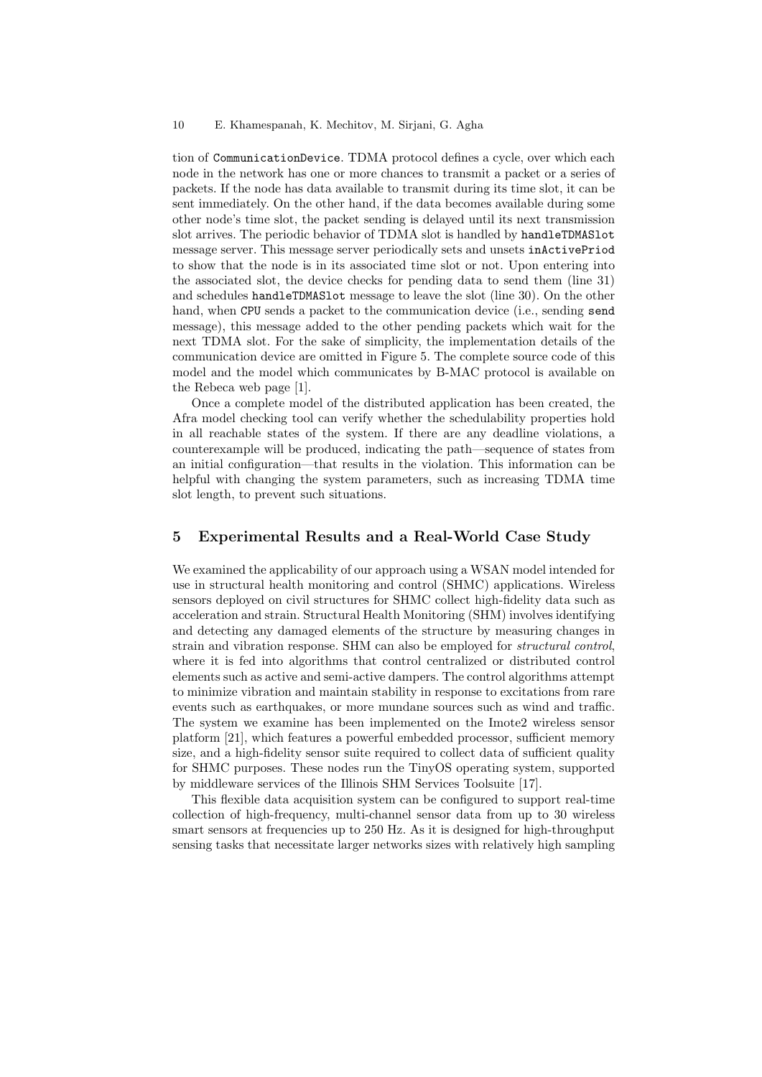tion of CommunicationDevice. TDMA protocol defines a cycle, over which each node in the network has one or more chances to transmit a packet or a series of packets. If the node has data available to transmit during its time slot, it can be sent immediately. On the other hand, if the data becomes available during some other node's time slot, the packet sending is delayed until its next transmission slot arrives. The periodic behavior of TDMA slot is handled by handleTDMASlot message server. This message server periodically sets and unsets inActivePriod to show that the node is in its associated time slot or not. Upon entering into the associated slot, the device checks for pending data to send them (line 31) and schedules handleTDMASlot message to leave the slot (line 30). On the other hand, when CPU sends a packet to the communication device (i.e., sending send message), this message added to the other pending packets which wait for the next TDMA slot. For the sake of simplicity, the implementation details of the communication device are omitted in Figure 5. The complete source code of this model and the model which communicates by B-MAC protocol is available on the Rebeca web page [1].

Once a complete model of the distributed application has been created, the Afra model checking tool can verify whether the schedulability properties hold in all reachable states of the system. If there are any deadline violations, a counterexample will be produced, indicating the path—sequence of states from an initial configuration—that results in the violation. This information can be helpful with changing the system parameters, such as increasing TDMA time slot length, to prevent such situations.

# 5 Experimental Results and a Real-World Case Study

We examined the applicability of our approach using a WSAN model intended for use in structural health monitoring and control (SHMC) applications. Wireless sensors deployed on civil structures for SHMC collect high-fidelity data such as acceleration and strain. Structural Health Monitoring (SHM) involves identifying and detecting any damaged elements of the structure by measuring changes in strain and vibration response. SHM can also be employed for structural control, where it is fed into algorithms that control centralized or distributed control elements such as active and semi-active dampers. The control algorithms attempt to minimize vibration and maintain stability in response to excitations from rare events such as earthquakes, or more mundane sources such as wind and traffic. The system we examine has been implemented on the Imote2 wireless sensor platform [21], which features a powerful embedded processor, sufficient memory size, and a high-fidelity sensor suite required to collect data of sufficient quality for SHMC purposes. These nodes run the TinyOS operating system, supported by middleware services of the Illinois SHM Services Toolsuite [17].

This flexible data acquisition system can be configured to support real-time collection of high-frequency, multi-channel sensor data from up to 30 wireless smart sensors at frequencies up to 250 Hz. As it is designed for high-throughput sensing tasks that necessitate larger networks sizes with relatively high sampling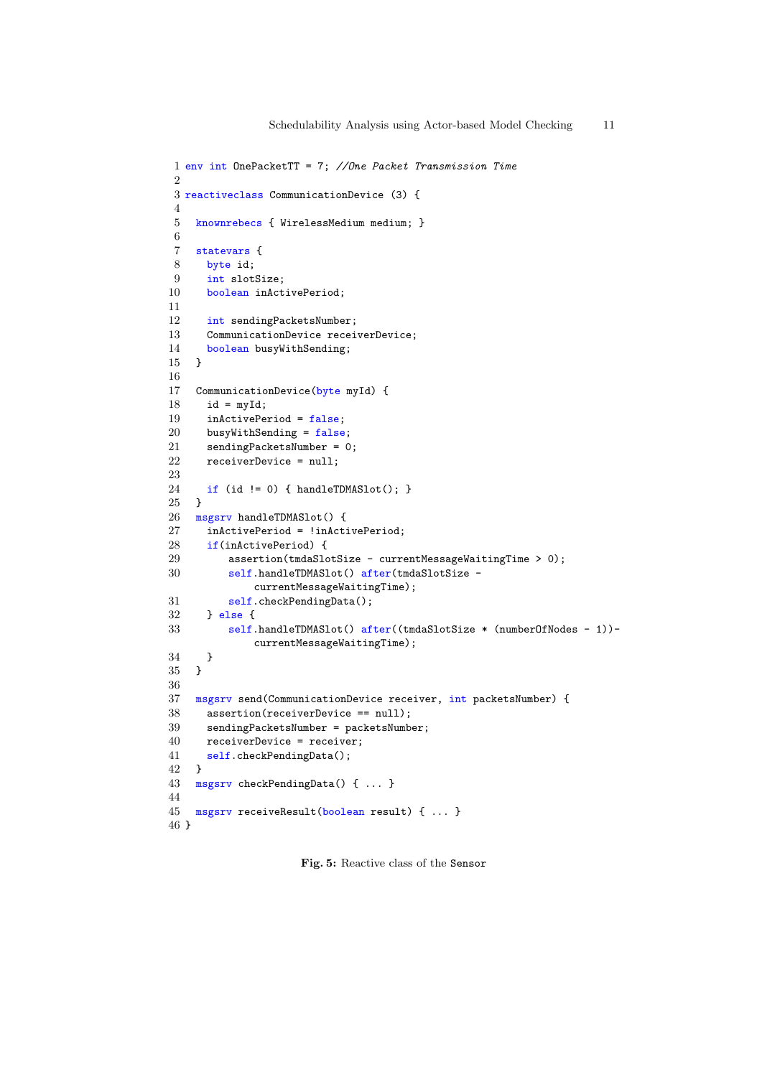```
1 env int OnePacketTT = 7; //One Packet Transmission Time
2
3 reactiveclass CommunicationDevice (3) {
4
5 knownrebecs { WirelessMedium medium; }
6
7 statevars {
8 byte id;
9 int slotSize;
10 boolean inActivePeriod;
11
12 int sendingPacketsNumber;
13 CommunicationDevice receiverDevice;
14 boolean busyWithSending;
15 }
16
17 CommunicationDevice(byte myId) {
18 id = myId;
19 inActivePeriod = false;
20 busyWithSending = false;
21 sendingPacketsNumber = 0;<br>22 receiverDevice = null:
     receiverDevice = null:
23
24 if (id != 0) { handleTDMASlot(); }
25 }
26 msgsrv handleTDMASlot() {
27 inActivePeriod = !inActivePeriod;
28 if(inActivePeriod) {
29 assertion(tmdaSlotSize - currentMessageWaitingTime > 0);
30 self.handleTDMASlot() after(tmdaSlotSize -
             currentMessageWaitingTime);
31 self.checkPendingData();
32 } else {
33 self.handleTDMASlot() after((tmdaSlotSize * (numberOfNodes - 1))-
             currentMessageWaitingTime);
34 }
35 }
36
37 msgsrv send(CommunicationDevice receiver, int packetsNumber) {
38 assertion(receiverDevice == null);
39 sendingPacketsNumber = packetsNumber;
40 receiverDevice = receiver;
41 self.checkPendingData();
42 }
43 msgsrv checkPendingData() { ... }
44
45 msgsrv receiveResult(boolean result) { ... }
46 }
```
Fig. 5: Reactive class of the Sensor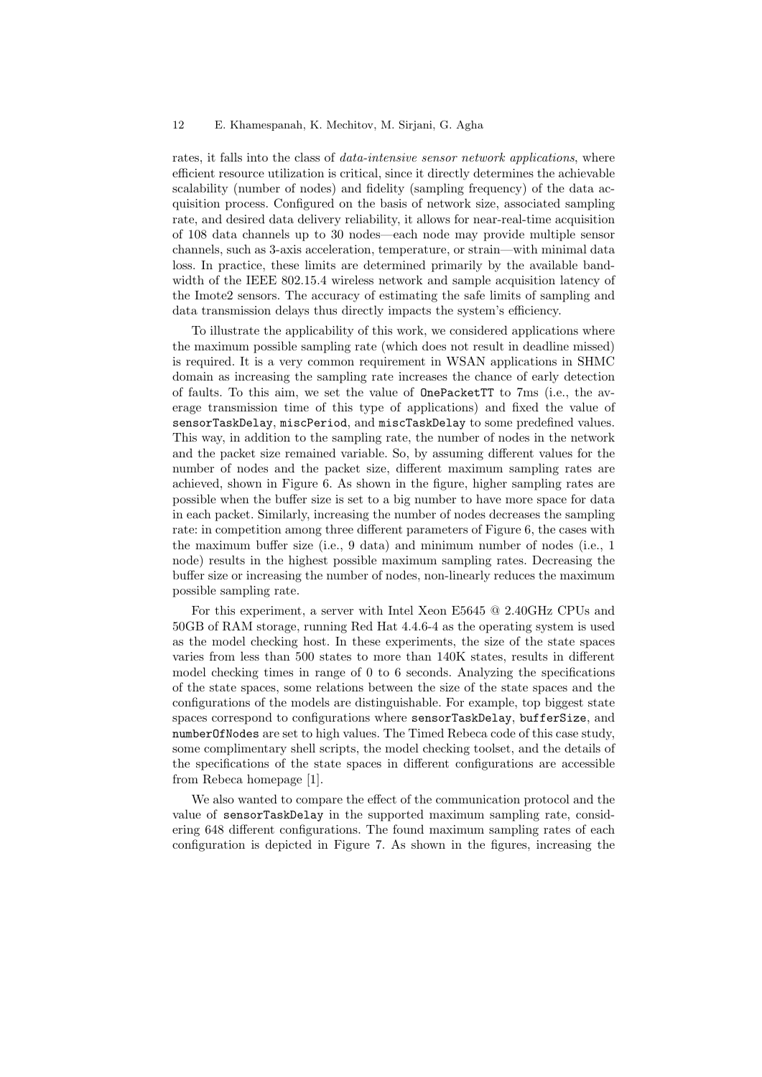rates, it falls into the class of data-intensive sensor network applications, where efficient resource utilization is critical, since it directly determines the achievable scalability (number of nodes) and fidelity (sampling frequency) of the data acquisition process. Configured on the basis of network size, associated sampling rate, and desired data delivery reliability, it allows for near-real-time acquisition of 108 data channels up to 30 nodes—each node may provide multiple sensor channels, such as 3-axis acceleration, temperature, or strain—with minimal data loss. In practice, these limits are determined primarily by the available bandwidth of the IEEE 802.15.4 wireless network and sample acquisition latency of the Imote2 sensors. The accuracy of estimating the safe limits of sampling and data transmission delays thus directly impacts the system's efficiency.

To illustrate the applicability of this work, we considered applications where the maximum possible sampling rate (which does not result in deadline missed) is required. It is a very common requirement in WSAN applications in SHMC domain as increasing the sampling rate increases the chance of early detection of faults. To this aim, we set the value of OnePacketTT to 7ms (i.e., the average transmission time of this type of applications) and fixed the value of sensorTaskDelay, miscPeriod, and miscTaskDelay to some predefined values. This way, in addition to the sampling rate, the number of nodes in the network and the packet size remained variable. So, by assuming different values for the number of nodes and the packet size, different maximum sampling rates are achieved, shown in Figure 6. As shown in the figure, higher sampling rates are possible when the buffer size is set to a big number to have more space for data in each packet. Similarly, increasing the number of nodes decreases the sampling rate: in competition among three different parameters of Figure 6, the cases with the maximum buffer size (i.e., 9 data) and minimum number of nodes (i.e., 1 node) results in the highest possible maximum sampling rates. Decreasing the buffer size or increasing the number of nodes, non-linearly reduces the maximum possible sampling rate.

For this experiment, a server with Intel Xeon E5645 @ 2.40GHz CPUs and 50GB of RAM storage, running Red Hat 4.4.6-4 as the operating system is used as the model checking host. In these experiments, the size of the state spaces varies from less than 500 states to more than 140K states, results in different model checking times in range of 0 to 6 seconds. Analyzing the specifications of the state spaces, some relations between the size of the state spaces and the configurations of the models are distinguishable. For example, top biggest state spaces correspond to configurations where sensorTaskDelay, bufferSize, and numberOfNodes are set to high values. The Timed Rebeca code of this case study, some complimentary shell scripts, the model checking toolset, and the details of the specifications of the state spaces in different configurations are accessible from Rebeca homepage [1].

We also wanted to compare the effect of the communication protocol and the value of sensorTaskDelay in the supported maximum sampling rate, considering 648 different configurations. The found maximum sampling rates of each configuration is depicted in Figure 7. As shown in the figures, increasing the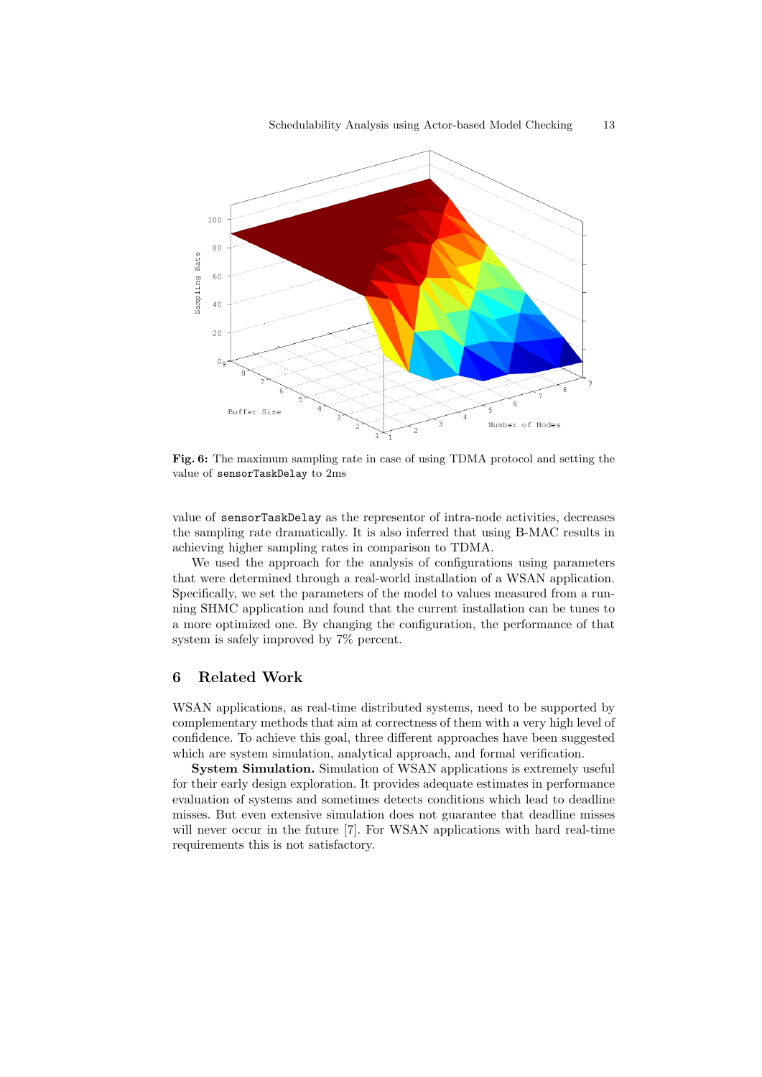

Fig. 6: The maximum sampling rate in case of using TDMA protocol and setting the value of sensorTaskDelay to 2ms

value of sensorTaskDelay as the representor of intra-node activities, decreases the sampling rate dramatically. It is also inferred that using B-MAC results in achieving higher sampling rates in comparison to TDMA.

We used the approach for the analysis of configurations using parameters that were determined through a real-world installation of a WSAN application. Specifically, we set the parameters of the model to values measured from a running SHMC application and found that the current installation can be tunes to a more optimized one. By changing the configuration, the performance of that system is safely improved by 7% percent.

# 6 Related Work

WSAN applications, as real-time distributed systems, need to be supported by complementary methods that aim at correctness of them with a very high level of confidence. To achieve this goal, three different approaches have been suggested which are system simulation, analytical approach, and formal verification.

System Simulation. Simulation of WSAN applications is extremely useful for their early design exploration. It provides adequate estimates in performance evaluation of systems and sometimes detects conditions which lead to deadline misses. But even extensive simulation does not guarantee that deadline misses will never occur in the future [7]. For WSAN applications with hard real-time requirements this is not satisfactory.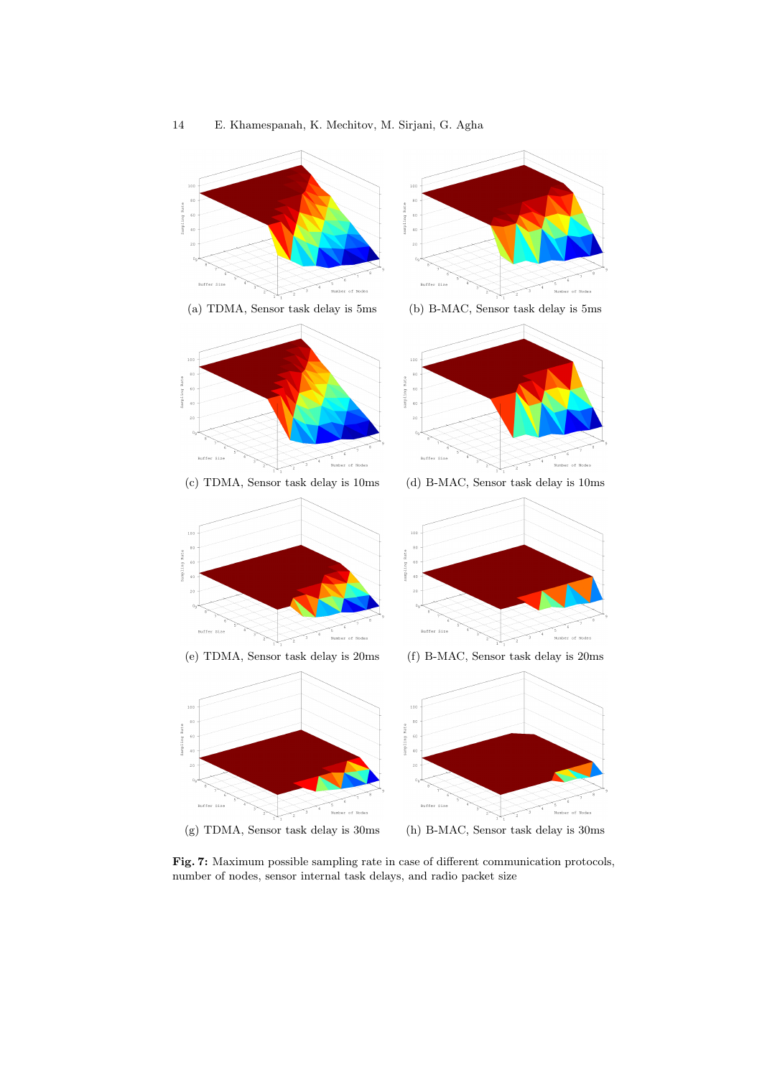

Fig. 7: Maximum possible sampling rate in case of different communication protocols, number of nodes, sensor internal task delays, and radio packet size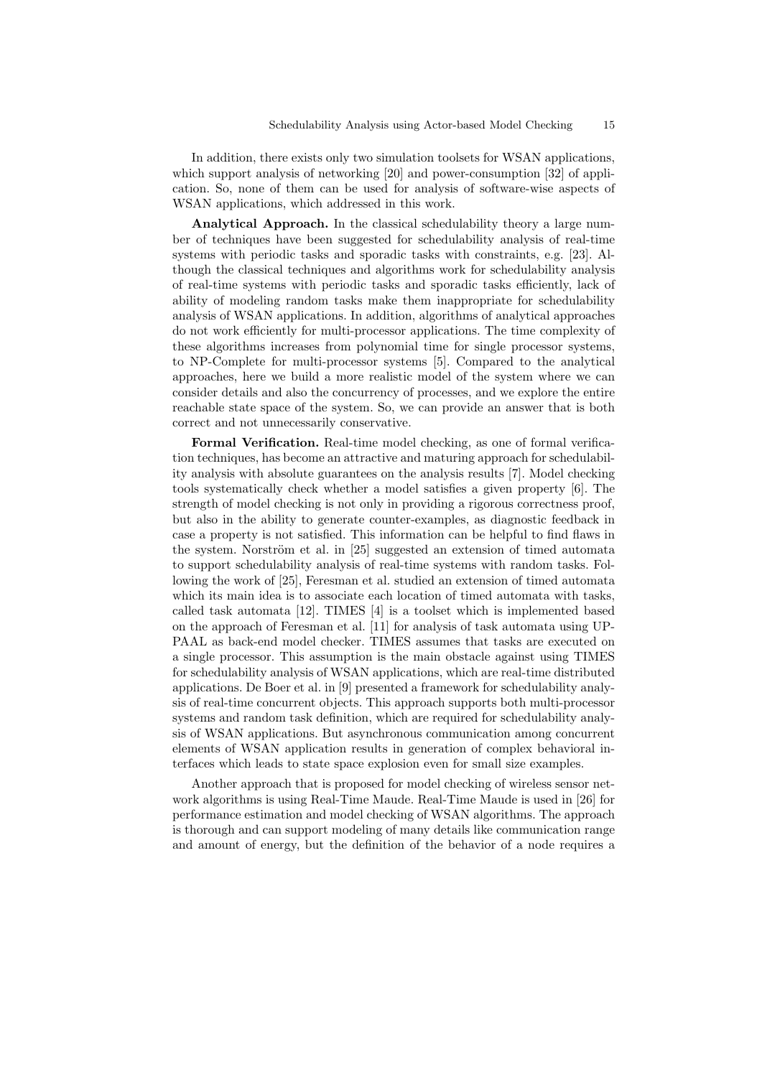In addition, there exists only two simulation toolsets for WSAN applications, which support analysis of networking [20] and power-consumption [32] of application. So, none of them can be used for analysis of software-wise aspects of WSAN applications, which addressed in this work.

Analytical Approach. In the classical schedulability theory a large number of techniques have been suggested for schedulability analysis of real-time systems with periodic tasks and sporadic tasks with constraints, e.g. [23]. Although the classical techniques and algorithms work for schedulability analysis of real-time systems with periodic tasks and sporadic tasks efficiently, lack of ability of modeling random tasks make them inappropriate for schedulability analysis of WSAN applications. In addition, algorithms of analytical approaches do not work efficiently for multi-processor applications. The time complexity of these algorithms increases from polynomial time for single processor systems, to NP-Complete for multi-processor systems [5]. Compared to the analytical approaches, here we build a more realistic model of the system where we can consider details and also the concurrency of processes, and we explore the entire reachable state space of the system. So, we can provide an answer that is both correct and not unnecessarily conservative.

Formal Verification. Real-time model checking, as one of formal verification techniques, has become an attractive and maturing approach for schedulability analysis with absolute guarantees on the analysis results [7]. Model checking tools systematically check whether a model satisfies a given property [6]. The strength of model checking is not only in providing a rigorous correctness proof, but also in the ability to generate counter-examples, as diagnostic feedback in case a property is not satisfied. This information can be helpful to find flaws in the system. Norström et al. in  $[25]$  suggested an extension of timed automata to support schedulability analysis of real-time systems with random tasks. Following the work of [25], Feresman et al. studied an extension of timed automata which its main idea is to associate each location of timed automata with tasks, called task automata [12]. TIMES [4] is a toolset which is implemented based on the approach of Feresman et al. [11] for analysis of task automata using UP-PAAL as back-end model checker. TIMES assumes that tasks are executed on a single processor. This assumption is the main obstacle against using TIMES for schedulability analysis of WSAN applications, which are real-time distributed applications. De Boer et al. in [9] presented a framework for schedulability analysis of real-time concurrent objects. This approach supports both multi-processor systems and random task definition, which are required for schedulability analysis of WSAN applications. But asynchronous communication among concurrent elements of WSAN application results in generation of complex behavioral interfaces which leads to state space explosion even for small size examples.

Another approach that is proposed for model checking of wireless sensor network algorithms is using Real-Time Maude. Real-Time Maude is used in [26] for performance estimation and model checking of WSAN algorithms. The approach is thorough and can support modeling of many details like communication range and amount of energy, but the definition of the behavior of a node requires a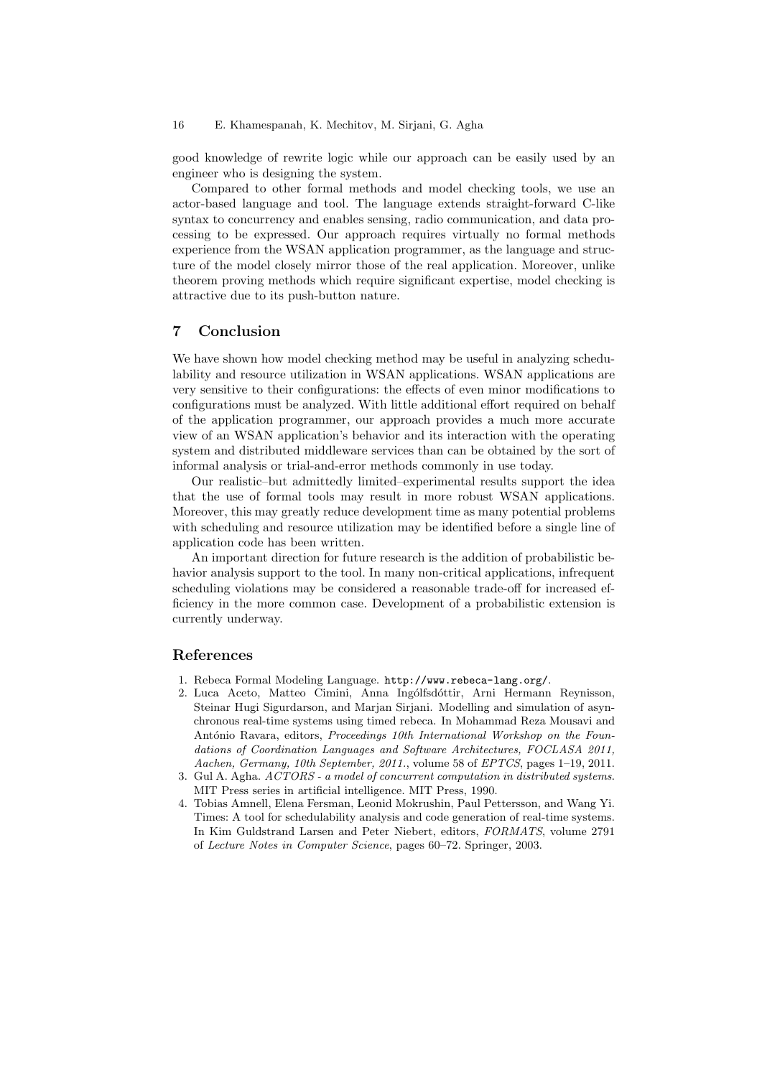### 16 E. Khamespanah, K. Mechitov, M. Sirjani, G. Agha

good knowledge of rewrite logic while our approach can be easily used by an engineer who is designing the system.

Compared to other formal methods and model checking tools, we use an actor-based language and tool. The language extends straight-forward C-like syntax to concurrency and enables sensing, radio communication, and data processing to be expressed. Our approach requires virtually no formal methods experience from the WSAN application programmer, as the language and structure of the model closely mirror those of the real application. Moreover, unlike theorem proving methods which require significant expertise, model checking is attractive due to its push-button nature.

# 7 Conclusion

We have shown how model checking method may be useful in analyzing schedulability and resource utilization in WSAN applications. WSAN applications are very sensitive to their configurations: the effects of even minor modifications to configurations must be analyzed. With little additional effort required on behalf of the application programmer, our approach provides a much more accurate view of an WSAN application's behavior and its interaction with the operating system and distributed middleware services than can be obtained by the sort of informal analysis or trial-and-error methods commonly in use today.

Our realistic–but admittedly limited–experimental results support the idea that the use of formal tools may result in more robust WSAN applications. Moreover, this may greatly reduce development time as many potential problems with scheduling and resource utilization may be identified before a single line of application code has been written.

An important direction for future research is the addition of probabilistic behavior analysis support to the tool. In many non-critical applications, infrequent scheduling violations may be considered a reasonable trade-off for increased efficiency in the more common case. Development of a probabilistic extension is currently underway.

## References

- 1. Rebeca Formal Modeling Language. http://www.rebeca-lang.org/.
- 2. Luca Aceto, Matteo Cimini, Anna Ingólfsdóttir, Arni Hermann Reynisson, Steinar Hugi Sigurdarson, and Marjan Sirjani. Modelling and simulation of asynchronous real-time systems using timed rebeca. In Mohammad Reza Mousavi and António Ravara, editors, *Proceedings 10th International Workshop on the Foun*dations of Coordination Languages and Software Architectures, FOCLASA 2011, Aachen, Germany, 10th September, 2011., volume 58 of EPTCS, pages 1–19, 2011.
- 3. Gul A. Agha. ACTORS a model of concurrent computation in distributed systems. MIT Press series in artificial intelligence. MIT Press, 1990.
- 4. Tobias Amnell, Elena Fersman, Leonid Mokrushin, Paul Pettersson, and Wang Yi. Times: A tool for schedulability analysis and code generation of real-time systems. In Kim Guldstrand Larsen and Peter Niebert, editors, FORMATS, volume 2791 of Lecture Notes in Computer Science, pages 60–72. Springer, 2003.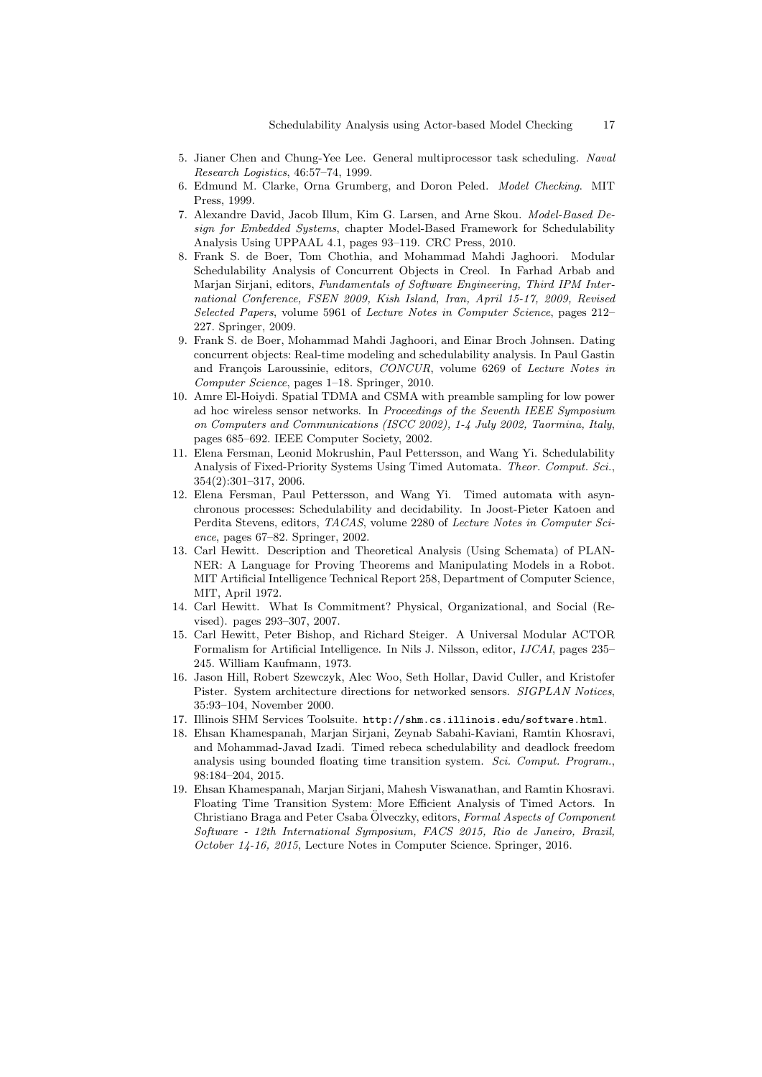- 5. Jianer Chen and Chung-Yee Lee. General multiprocessor task scheduling. Naval Research Logistics, 46:57–74, 1999.
- 6. Edmund M. Clarke, Orna Grumberg, and Doron Peled. Model Checking. MIT Press, 1999.
- 7. Alexandre David, Jacob Illum, Kim G. Larsen, and Arne Skou. Model-Based Design for Embedded Systems, chapter Model-Based Framework for Schedulability Analysis Using UPPAAL 4.1, pages 93–119. CRC Press, 2010.
- 8. Frank S. de Boer, Tom Chothia, and Mohammad Mahdi Jaghoori. Modular Schedulability Analysis of Concurrent Objects in Creol. In Farhad Arbab and Marjan Sirjani, editors, Fundamentals of Software Engineering, Third IPM International Conference, FSEN 2009, Kish Island, Iran, April 15-17, 2009, Revised Selected Papers, volume 5961 of Lecture Notes in Computer Science, pages 212– 227. Springer, 2009.
- 9. Frank S. de Boer, Mohammad Mahdi Jaghoori, and Einar Broch Johnsen. Dating concurrent objects: Real-time modeling and schedulability analysis. In Paul Gastin and François Laroussinie, editors, CONCUR, volume 6269 of Lecture Notes in Computer Science, pages 1–18. Springer, 2010.
- 10. Amre El-Hoiydi. Spatial TDMA and CSMA with preamble sampling for low power ad hoc wireless sensor networks. In Proceedings of the Seventh IEEE Symposium on Computers and Communications (ISCC 2002), 1-4 July 2002, Taormina, Italy, pages 685–692. IEEE Computer Society, 2002.
- 11. Elena Fersman, Leonid Mokrushin, Paul Pettersson, and Wang Yi. Schedulability Analysis of Fixed-Priority Systems Using Timed Automata. Theor. Comput. Sci., 354(2):301–317, 2006.
- 12. Elena Fersman, Paul Pettersson, and Wang Yi. Timed automata with asynchronous processes: Schedulability and decidability. In Joost-Pieter Katoen and Perdita Stevens, editors, TACAS, volume 2280 of Lecture Notes in Computer Science, pages 67–82. Springer, 2002.
- 13. Carl Hewitt. Description and Theoretical Analysis (Using Schemata) of PLAN-NER: A Language for Proving Theorems and Manipulating Models in a Robot. MIT Artificial Intelligence Technical Report 258, Department of Computer Science, MIT, April 1972.
- 14. Carl Hewitt. What Is Commitment? Physical, Organizational, and Social (Revised). pages 293–307, 2007.
- 15. Carl Hewitt, Peter Bishop, and Richard Steiger. A Universal Modular ACTOR Formalism for Artificial Intelligence. In Nils J. Nilsson, editor, IJCAI, pages 235– 245. William Kaufmann, 1973.
- 16. Jason Hill, Robert Szewczyk, Alec Woo, Seth Hollar, David Culler, and Kristofer Pister. System architecture directions for networked sensors. SIGPLAN Notices, 35:93–104, November 2000.
- 17. Illinois SHM Services Toolsuite. http://shm.cs.illinois.edu/software.html.
- 18. Ehsan Khamespanah, Marjan Sirjani, Zeynab Sabahi-Kaviani, Ramtin Khosravi, and Mohammad-Javad Izadi. Timed rebeca schedulability and deadlock freedom analysis using bounded floating time transition system. Sci. Comput. Program., 98:184–204, 2015.
- 19. Ehsan Khamespanah, Marjan Sirjani, Mahesh Viswanathan, and Ramtin Khosravi. Floating Time Transition System: More Efficient Analysis of Timed Actors. In Christiano Braga and Peter Csaba Ölveczky, editors, Formal Aspects of Component Software - 12th International Symposium, FACS 2015, Rio de Janeiro, Brazil, October 14-16, 2015, Lecture Notes in Computer Science. Springer, 2016.